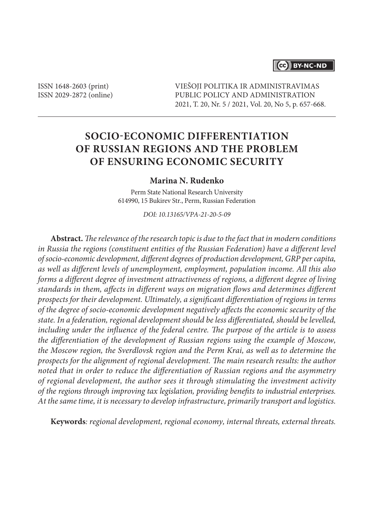# CC BY-NC-ND

ISSN 1648-2603 (print) ISSN 2029-2872 (online) VIEŠOJI POLITIKA IR ADMINISTRAVIMAS PUBLIC POLICY AND ADMINISTRATION 2021, T. 20, Nr. 5 / 2021, Vol. 20, No 5, p. 657-668.

# **SOCIO-ECONOMIC DIFFERENTIATION OF RUSSIAN REGIONS AND THE PROBLEM OF ENSURING ECONOMIC SECURITY**

## **Marina N. Rudenko**

Perm State National Research University 614990, 15 Bukirev Str., Perm, Russian Federation

*DOI: 10.13165/VPA-21-20-5-09*

**Abstract.** *The relevance of the research topic is due to the fact that in modern conditions in Russia the regions (constituent entities of the Russian Federation) have a different level of socio-economic development, different degrees of production development, GRP per capita, as well as different levels of unemployment, employment, population income. All this also forms a different degree of investment attractiveness of regions, a different degree of living standards in them, affects in different ways on migration flows and determines different prospects for their development. Ultimately, a significant differentiation of regions in terms of the degree of socio-economic development negatively affects the economic security of the state. In a federation, regional development should be less differentiated, should be levelled, including under the influence of the federal centre. The purpose of the article is to assess the differentiation of the development of Russian regions using the example of Moscow, the Moscow region, the Sverdlovsk region and the Perm Krai, as well as to determine the prospects for the alignment of regional development. The main research results: the author noted that in order to reduce the differentiation of Russian regions and the asymmetry of regional development, the author sees it through stimulating the investment activity of the regions through improving tax legislation, providing benefits to industrial enterprises. At the same time, it is necessary to develop infrastructure, primarily transport and logistics.*

**Keywords***: regional development, regional economy, internal threats, external threats.*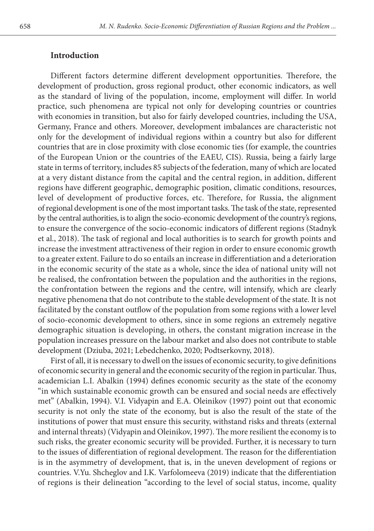#### **Introduction**

Different factors determine different development opportunities. Therefore, the development of production, gross regional product, other economic indicators, as well as the standard of living of the population, income, employment will differ. In world practice, such phenomena are typical not only for developing countries or countries with economies in transition, but also for fairly developed countries, including the USA, Germany, France and others. Moreover, development imbalances are characteristic not only for the development of individual regions within a country but also for different countries that are in close proximity with close economic ties (for example, the countries of the European Union or the countries of the EAEU, CIS). Russia, being a fairly large state in terms of territory, includes 85 subjects of the federation, many of which are located at a very distant distance from the capital and the central region, in addition, different regions have different geographic, demographic position, climatic conditions, resources, level of development of productive forces, etc. Therefore, for Russia, the alignment of regional development is one of the most important tasks. The task of the state, represented by the central authorities, is to align the socio-economic development of the country's regions, to ensure the convergence of the socio-economic indicators of different regions (Stadnyk et al., 2018). The task of regional and local authorities is to search for growth points and increase the investment attractiveness of their region in order to ensure economic growth to a greater extent. Failure to do so entails an increase in differentiation and a deterioration in the economic security of the state as a whole, since the idea of national unity will not be realised, the confrontation between the population and the authorities in the regions, the confrontation between the regions and the centre, will intensify, which are clearly negative phenomena that do not contribute to the stable development of the state. It is not facilitated by the constant outflow of the population from some regions with a lower level of socio-economic development to others, since in some regions an extremely negative demographic situation is developing, in others, the constant migration increase in the population increases pressure on the labour market and also does not contribute to stable development (Dziuba, 2021; Lebedchenko, 2020; Podtserkovny, 2018).

First of all, it is necessary to dwell on the issues of economic security, to give definitions of economic security in general and the economic security of the region in particular. Thus, academician L.I. Abalkin (1994) defines economic security as the state of the economy "in which sustainable economic growth can be ensured and social needs are effectively met" (Abalkin, 1994). V.I. Vidyapin and E.A. Oleinikov (1997) point out that economic security is not only the state of the economy, but is also the result of the state of the institutions of power that must ensure this security, withstand risks and threats (external and internal threats) (Vidyapin and Oleinikov, 1997). The more resilient the economy is to such risks, the greater economic security will be provided. Further, it is necessary to turn to the issues of differentiation of regional development. The reason for the differentiation is in the asymmetry of development, that is, in the uneven development of regions or countries. V.Yu. Shcheglov and I.K. Varfolomeeva (2019) indicate that the differentiation of regions is their delineation "according to the level of social status, income, quality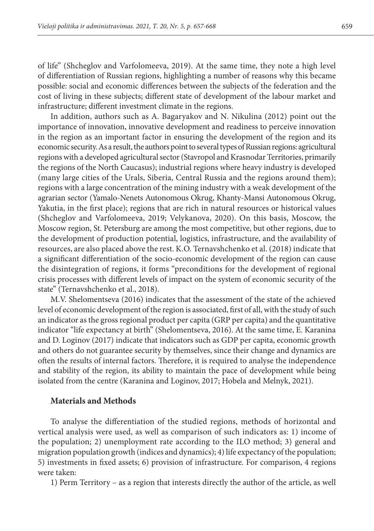of life" (Shcheglov and Varfolomeeva, 2019). At the same time, they note a high level of differentiation of Russian regions, highlighting a number of reasons why this became possible: social and economic differences between the subjects of the federation and the cost of living in these subjects; different state of development of the labour market and infrastructure; different investment climate in the regions.

In addition, authors such as A. Bagaryakov and N. Nikulina (2012) point out the importance of innovation, innovative development and readiness to perceive innovation in the region as an important factor in ensuring the development of the region and its economic security. As a result, the authors point to several types of Russian regions: agricultural regions with a developed agricultural sector (Stavropol and Krasnodar Territories, primarily the regions of the North Caucasus); industrial regions where heavy industry is developed (many large cities of the Urals, Siberia, Central Russia and the regions around them); regions with a large concentration of the mining industry with a weak development of the agrarian sector (Yamalo-Nenets Autonomous Okrug, Khanty-Mansi Autonomous Okrug, Yakutia, in the first place); regions that are rich in natural resources or historical values (Shcheglov and Varfolomeeva, 2019; Velykanova, 2020). On this basis, Moscow, the Moscow region, St. Petersburg are among the most competitive, but other regions, due to the development of production potential, logistics, infrastructure, and the availability of resources, are also placed above the rest. K.O. Ternavshchenko et al. (2018) indicate that a significant differentiation of the socio-economic development of the region can cause the disintegration of regions, it forms "preconditions for the development of regional crisis processes with different levels of impact on the system of economic security of the state" (Ternavshchenko et al., 2018).

M.V. Shelomentseva (2016) indicates that the assessment of the state of the achieved level of economic development of the region is associated, first of all, with the study of such an indicator as the gross regional product per capita (GRP per capita) and the quantitative indicator "life expectancy at birth" (Shelomentseva, 2016). At the same time, E. Karanina and D. Loginov (2017) indicate that indicators such as GDP per capita, economic growth and others do not guarantee security by themselves, since their change and dynamics are often the results of internal factors. Therefore, it is required to analyse the independence and stability of the region, its ability to maintain the pace of development while being isolated from the centre (Karanina and Loginov, 2017; Hobela and Melnyk, 2021).

### **Materials and Methods**

To analyse the differentiation of the studied regions, methods of horizontal and vertical analysis were used, as well as comparison of such indicators as: 1) income of the population; 2) unemployment rate according to the ILO method; 3) general and migration population growth (indices and dynamics); 4) life expectancy of the population; 5) investments in fixed assets; 6) provision of infrastructure. For comparison, 4 regions were taken:

1) Perm Territory – as a region that interests directly the author of the article, as well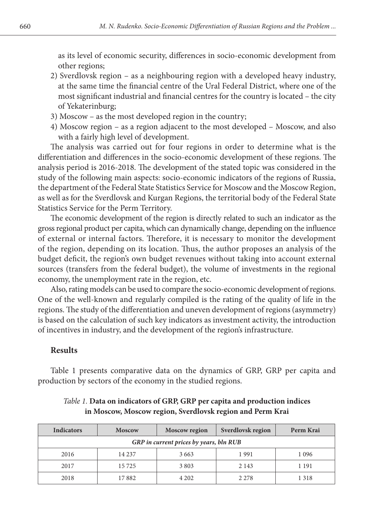as its level of economic security, differences in socio-economic development from other regions;

- 2) Sverdlovsk region as a neighbouring region with a developed heavy industry, at the same time the financial centre of the Ural Federal District, where one of the most significant industrial and financial centres for the country is located – the city of Yekaterinburg;
- 3) Moscow as the most developed region in the country;
- 4) Moscow region as a region adjacent to the most developed Moscow, and also with a fairly high level of development.

The analysis was carried out for four regions in order to determine what is the differentiation and differences in the socio-economic development of these regions. The analysis period is 2016-2018. The development of the stated topic was considered in the study of the following main aspects: socio-economic indicators of the regions of Russia, the department of the Federal State Statistics Service for Moscow and the Moscow Region, as well as for the Sverdlovsk and Kurgan Regions, the territorial body of the Federal State Statistics Service for the Perm Territory.

The economic development of the region is directly related to such an indicator as the gross regional product per capita, which can dynamically change, depending on the influence of external or internal factors. Therefore, it is necessary to monitor the development of the region, depending on its location. Thus, the author proposes an analysis of the budget deficit, the region's own budget revenues without taking into account external sources (transfers from the federal budget), the volume of investments in the regional economy, the unemployment rate in the region, etc.

Also, rating models can be used to compare the socio-economic development of regions. One of the well-known and regularly compiled is the rating of the quality of life in the regions. The study of the differentiation and uneven development of regions (asymmetry) is based on the calculation of such key indicators as investment activity, the introduction of incentives in industry, and the development of the region's infrastructure.

#### **Results**

Table 1 presents comparative data on the dynamics of GRP, GRP per capita and production by sectors of the economy in the studied regions.

| <b>Indicators</b>                       | <b>Moscow</b> | Moscow region | Sverdlovsk region | Perm Krai |  |
|-----------------------------------------|---------------|---------------|-------------------|-----------|--|
| GRP in current prices by years, bln RUB |               |               |                   |           |  |
| 2016                                    | 14 2 3 7      | 3 6 6 3       | 1991              | 1096      |  |
| 2017                                    | 15725         | 3803          | 2 1 4 3           | 1 1 9 1   |  |
| 2018                                    | 17882         | 4 2 0 2       | 2 2 7 8           | 1318      |  |

*Table 1.* **Data on indicators of GRP, GRP per capita and production indices in Moscow, Moscow region, Sverdlovsk region and Perm Krai**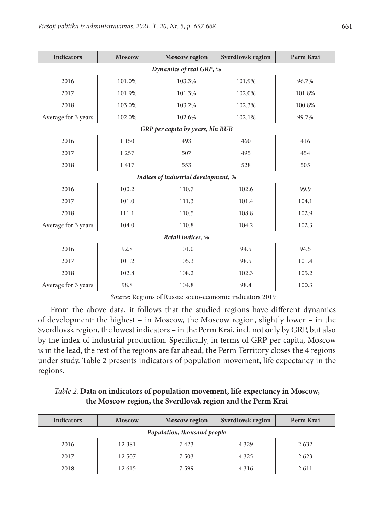| <b>Indicators</b>                    | <b>Moscow</b> | Moscow region                    | Sverdlovsk region | Perm Krai |  |
|--------------------------------------|---------------|----------------------------------|-------------------|-----------|--|
| Dynamics of real GRP, %              |               |                                  |                   |           |  |
| 2016                                 | 101.0%        | 103.3%                           | 101.9%            | 96.7%     |  |
| 2017                                 | 101.9%        | 101.3%                           | 102.0%            | 101.8%    |  |
| 2018                                 | 103.0%        | 103.2%                           | 102.3%            | 100.8%    |  |
| Average for 3 years                  | 102.0%        | 102.6%                           | 102.1%            | 99.7%     |  |
|                                      |               | GRP per capita by years, bln RUB |                   |           |  |
| 2016                                 | 1 1 5 0       | 493                              | 460               | 416       |  |
| 2017                                 | 1 2 5 7       | 507                              | 495               | 454       |  |
| 2018                                 | 1417          | 553                              | 528               | 505       |  |
| Indices of industrial development, % |               |                                  |                   |           |  |
| 2016                                 | 100.2         | 110.7                            | 102.6             | 99.9      |  |
| 2017                                 | 101.0         | 111.3                            | 101.4             | 104.1     |  |
| 2018                                 | 111.1         | 110.5                            | 108.8             | 102.9     |  |
| Average for 3 years                  | 104.0         | 110.8                            | 104.2             | 102.3     |  |
| Retail indices, %                    |               |                                  |                   |           |  |
| 2016                                 | 92.8          | 101.0                            | 94.5              | 94.5      |  |
| 2017                                 | 101.2         | 105.3                            | 98.5              | 101.4     |  |
| 2018                                 | 102.8         | 108.2                            | 102.3             | 105.2     |  |
| Average for 3 years                  | 98.8          | 104.8                            | 98.4              | 100.3     |  |

*Source*: Regions of Russia: socio-economic indicators 2019

From the above data, it follows that the studied regions have different dynamics of development: the highest – in Moscow, the Moscow region, slightly lower – in the Sverdlovsk region, the lowest indicators – in the Perm Krai, incl. not only by GRP, but also by the index of industrial production. Specifically, in terms of GRP per capita, Moscow is in the lead, the rest of the regions are far ahead, the Perm Territory closes the 4 regions under study. Table 2 presents indicators of population movement, life expectancy in the regions.

*Table 2.* **Data on indicators of population movement, life expectancy in Moscow, the Moscow region, the Sverdlovsk region and the Perm Krai**

| <b>Indicators</b>           | <b>Moscow</b> | <b>Moscow</b> region | Sverdlovsk region | Perm Krai |  |
|-----------------------------|---------------|----------------------|-------------------|-----------|--|
| Population, thousand people |               |                      |                   |           |  |
| 2016                        | 12 3 8 1      | 7423                 | 4 3 2 9           | 2632      |  |
| 2017                        | 12 507        | 7 5 0 3              | 4 3 2 5           | 2623      |  |
| 2018                        | 12615         | 7.599                | 4 3 1 6           | 2611      |  |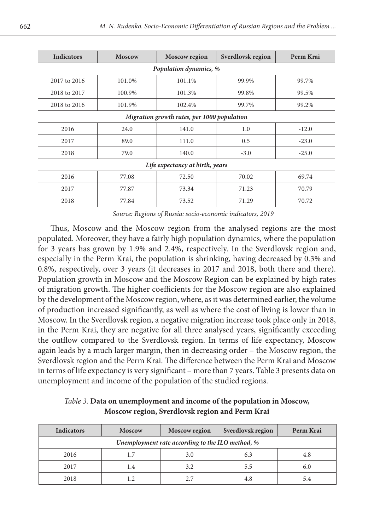| <b>Indicators</b>                           | <b>Moscow</b> | Moscow region | Sverdlovsk region | Perm Krai |  |
|---------------------------------------------|---------------|---------------|-------------------|-----------|--|
| Population dynamics, %                      |               |               |                   |           |  |
| 2017 to 2016                                | 101.0%        | 101.1%        | 99.9%             | 99.7%     |  |
| 2018 to 2017                                | 100.9%        | 101.3%        | 99.8%             | 99.5%     |  |
| 2018 to 2016                                | 101.9%        | 102.4%        | 99.7%             | 99.2%     |  |
| Migration growth rates, per 1000 population |               |               |                   |           |  |
| 2016                                        | 24.0          | 141.0         | 1.0               | $-12.0$   |  |
| 2017                                        | 89.0          | 111.0         | 0.5               | $-23.0$   |  |
| 2018                                        | 79.0          | 140.0         | $-3.0$            | $-25.0$   |  |
| Life expectancy at birth, years             |               |               |                   |           |  |
| 2016                                        | 77.08         | 72.50         | 70.02             | 69.74     |  |
| 2017                                        | 77.87         | 73.34         | 71.23             | 70.79     |  |
| 2018                                        | 77.84         | 73.52         | 71.29             | 70.72     |  |

*Source: Regions of Russia: socio-economic indicators, 2019*

Thus, Moscow and the Moscow region from the analysed regions are the most populated. Moreover, they have a fairly high population dynamics, where the population for 3 years has grown by 1.9% and 2.4%, respectively. In the Sverdlovsk region and, especially in the Perm Krai, the population is shrinking, having decreased by 0.3% and 0.8%, respectively, over 3 years (it decreases in 2017 and 2018, both there and there). Population growth in Moscow and the Moscow Region can be explained by high rates of migration growth. The higher coefficients for the Moscow region are also explained by the development of the Moscow region, where, as it was determined earlier, the volume of production increased significantly, as well as where the cost of living is lower than in Moscow. In the Sverdlovsk region, a negative migration increase took place only in 2018, in the Perm Krai, they are negative for all three analysed years, significantly exceeding the outflow compared to the Sverdlovsk region. In terms of life expectancy, Moscow again leads by a much larger margin, then in decreasing order – the Moscow region, the Sverdlovsk region and the Perm Krai. The difference between the Perm Krai and Moscow in terms of life expectancy is very significant – more than 7 years. Table 3 presents data on unemployment and income of the population of the studied regions.

*Table 3.* **Data on unemployment and income of the population in Moscow, Moscow region, Sverdlovsk region and Perm Krai**

| <b>Indicators</b>                                | <b>Moscow</b> | <b>Moscow</b> region | Sverdlovsk region | Perm Krai |  |
|--------------------------------------------------|---------------|----------------------|-------------------|-----------|--|
| Unemployment rate according to the ILO method, % |               |                      |                   |           |  |
| 2016                                             |               | 3.0                  | 6.3               |           |  |
| 2017                                             |               | 3.2                  | 5.5               | 6.0       |  |
| 2018                                             |               | 2.7                  | 4.8               |           |  |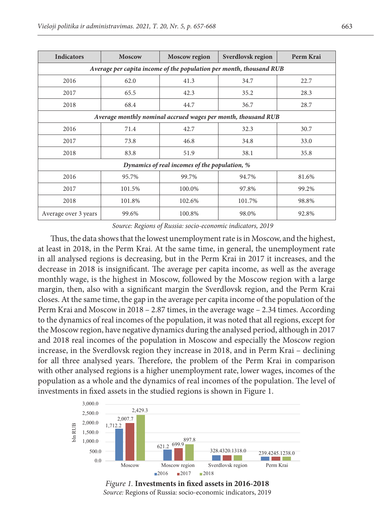| <b>Indicators</b>                                                   | <b>Moscow</b> | <b>Moscow region</b> | Sverdlovsk region | Perm Krai |  |
|---------------------------------------------------------------------|---------------|----------------------|-------------------|-----------|--|
| Average per capita income of the population per month, thousand RUB |               |                      |                   |           |  |
| 2016                                                                | 62.0          | 41.3                 | 34.7              | 22.7      |  |
| 2017                                                                | 65.5          | 42.3                 | 35.2              | 28.3      |  |
| 2018                                                                | 68.4          | 44.7                 | 36.7              | 28.7      |  |
| Average monthly nominal accrued wages per month, thousand RUB       |               |                      |                   |           |  |
| 2016                                                                | 71.4          | 42.7                 | 32.3              | 30.7      |  |
| 2017                                                                | 73.8          | 46.8                 | 34.8              | 33.0      |  |
| 2018                                                                | 83.8          | 51.9                 | 38.1              | 35.8      |  |
| Dynamics of real incomes of the population, %                       |               |                      |                   |           |  |
| 2016                                                                | 95.7%         | 99.7%                | 94.7%             | 81.6%     |  |
| 2017                                                                | 101.5%        | 100.0%               | 97.8%             | 99.2%     |  |
| 2018                                                                | 101.8%        | 102.6%               | 101.7%            | 98.8%     |  |
| Average over 3 years                                                | 99.6%         | 100.8%               | 98.0%             | 92.8%     |  |

*Source: Regions of Russia: socio-economic indicators, 2019*

Thus, the data shows that the lowest unemployment rate is in Moscow, and the highest, at least in 2018, in the Perm Krai. At the same time, in general, the unemployment rate in all analysed regions is decreasing, but in the Perm Krai in 2017 it increases, and the decrease in 2018 is insignificant. The average per capita income, as well as the average monthly wage, is the highest in Moscow, followed by the Moscow region with a large margin, then, also with a significant margin the Sverdlovsk region, and the Perm Krai closes. At the same time, the gap in the average per capita income of the population of the Perm Krai and Moscow in 2018 – 2.87 times, in the average wage – 2.34 times. According to the dynamics of real incomes of the population, it was noted that all regions, except for the Moscow region, have negative dynamics during the analysed period, although in 2017 and 2018 real incomes of the population in Moscow and especially the Moscow region increase, in the Sverdlovsk region they increase in 2018, and in Perm Krai – declining for all three analysed years. Therefore, the problem of the Perm Krai in comparison with other analysed regions is a higher unemployment rate, lower wages, incomes of the population as a whole and the dynamics of real incomes of the population. The level of investments in fixed assets in the studied regions is shown in Figure 1.



*Figure 1.* **Investments in fixed assets in 2016-2018** *Source:* Regions of Russia: socio-economic indicators, 2019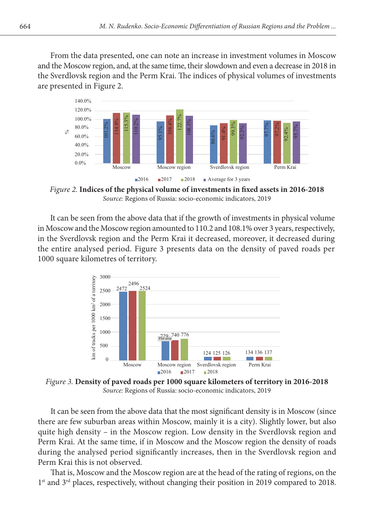From the data presented, one can note an increase in investment volumes in Moscow and the Moscow region, and, at the same time, their slowdown and even a decrease in 2018 in the Sverdlovsk region and the Perm Krai. The indices of physical volumes of investments are presented in Figure 2.



*Figure 2.* **Indices of the physical volume of investments in fixed assets in 2016-2018** *Source:* Regions of Russia: socio-economic indicators, 2019

It can be seen from the above data that if the growth of investments in physical volume in Moscow and the Moscow region amounted to 110.2 and 108.1% over 3 years, respectively, in the Sverdlovsk region and the Perm Krai it decreased, moreover, it decreased during the entire analysed period. Figure 3 presents data on the density of paved roads per 1000 square kilometres of territory.



*Figure 3.* **Density of paved roads per 1000 square kilometers of territory in 2016-2018** *Source:* Regions of Russia: socio-economic indicators, 2019

It can be seen from the above data that the most significant density is in Moscow (since there are few suburban areas within Moscow, mainly it is a city). Slightly lower, but also quite high density – in the Moscow region. Low density in the Sverdlovsk region and Perm Krai. At the same time, if in Moscow and the Moscow region the density of roads during the analysed period significantly increases, then in the Sverdlovsk region and Perm Krai this is not observed.

That is, Moscow and the Moscow region are at the head of the rating of regions, on the 1<sup>st</sup> and 3<sup>rd</sup> places, respectively, without changing their position in 2019 compared to 2018.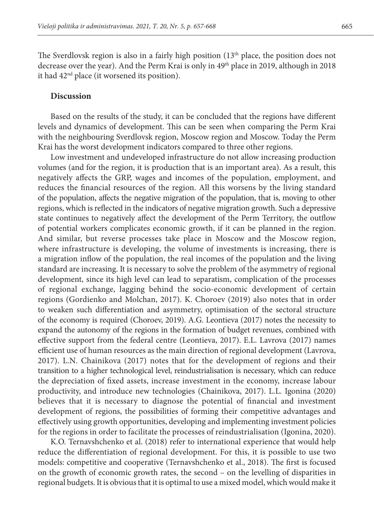The Sverdlovsk region is also in a fairly high position  $(13<sup>th</sup>$  place, the position does not decrease over the year). And the Perm Krai is only in 49th place in 2019, although in 2018 it had 42nd place (it worsened its position).

#### **Discussion**

Based on the results of the study, it can be concluded that the regions have different levels and dynamics of development. This can be seen when comparing the Perm Krai with the neighbouring Sverdlovsk region, Moscow region and Moscow. Today the Perm Krai has the worst development indicators compared to three other regions.

Low investment and undeveloped infrastructure do not allow increasing production volumes (and for the region, it is production that is an important area). As a result, this negatively affects the GRP, wages and incomes of the population, employment, and reduces the financial resources of the region. All this worsens by the living standard of the population, affects the negative migration of the population, that is, moving to other regions, which is reflected in the indicators of negative migration growth. Such a depressive state continues to negatively affect the development of the Perm Territory, the outflow of potential workers complicates economic growth, if it can be planned in the region. And similar, but reverse processes take place in Moscow and the Moscow region, where infrastructure is developing, the volume of investments is increasing, there is a migration inflow of the population, the real incomes of the population and the living standard are increasing. It is necessary to solve the problem of the asymmetry of regional development, since its high level can lead to separatism, complication of the processes of regional exchange, lagging behind the socio-economic development of certain regions (Gordienko and Molchan, 2017). K. Choroev (2019) also notes that in order to weaken such differentiation and asymmetry, optimisation of the sectoral structure of the economy is required (Choroev, 2019). A.G. Leontieva (2017) notes the necessity to expand the autonomy of the regions in the formation of budget revenues, combined with effective support from the federal centre (Leontieva, 2017). E.L. Lavrova (2017) names efficient use of human resources as the main direction of regional development (Lavrova, 2017). L.N. Chainikova (2017) notes that for the development of regions and their transition to a higher technological level, reindustrialisation is necessary, which can reduce the depreciation of fixed assets, increase investment in the economy, increase labour productivity, and introduce new technologies (Chainikova, 2017). L.L. Igonina (2020) believes that it is necessary to diagnose the potential of financial and investment development of regions, the possibilities of forming their competitive advantages and effectively using growth opportunities, developing and implementing investment policies for the regions in order to facilitate the processes of reindustrialisation (Igonina, 2020).

K.O. Ternavshchenko et al. (2018) refer to international experience that would help reduce the differentiation of regional development. For this, it is possible to use two models: competitive and cooperative (Ternavshchenko et al., 2018). The first is focused on the growth of economic growth rates, the second – on the levelling of disparities in regional budgets. It is obvious that it is optimal to use a mixed model, which would make it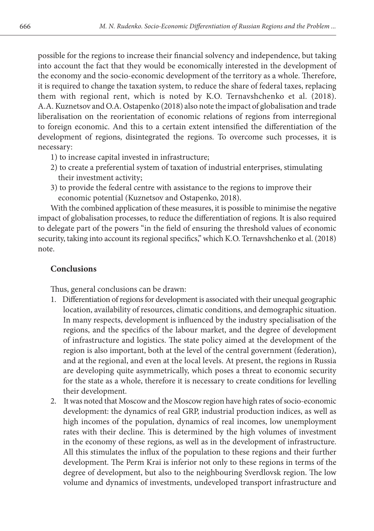possible for the regions to increase their financial solvency and independence, but taking into account the fact that they would be economically interested in the development of the economy and the socio-economic development of the territory as a whole. Therefore, it is required to change the taxation system, to reduce the share of federal taxes, replacing them with regional rent, which is noted by K.O. Ternavshchenko et al. (2018). A.A. Kuznetsov and O.A. Ostapenko (2018) also note the impact of globalisation and trade liberalisation on the reorientation of economic relations of regions from interregional to foreign economic. And this to a certain extent intensified the differentiation of the development of regions, disintegrated the regions. To overcome such processes, it is necessary:

- 1) to increase capital invested in infrastructure;
- 2) to create a preferential system of taxation of industrial enterprises, stimulating their investment activity;
- 3) to provide the federal centre with assistance to the regions to improve their economic potential (Kuznetsov and Ostapenko, 2018).

With the combined application of these measures, it is possible to minimise the negative impact of globalisation processes, to reduce the differentiation of regions. It is also required to delegate part of the powers "in the field of ensuring the threshold values of economic security, taking into account its regional specifics," which K.O. Ternavshchenko et al. (2018) note.

#### **Conclusions**

Thus, general conclusions can be drawn:

- 1. Differentiation of regions for development is associated with their unequal geographic location, availability of resources, climatic conditions, and demographic situation. In many respects, development is influenced by the industry specialisation of the regions, and the specifics of the labour market, and the degree of development of infrastructure and logistics. The state policy aimed at the development of the region is also important, both at the level of the central government (federation), and at the regional, and even at the local levels. At present, the regions in Russia are developing quite asymmetrically, which poses a threat to economic security for the state as a whole, therefore it is necessary to create conditions for levelling their development.
- 2. It was noted that Moscow and the Moscow region have high rates of socio-economic development: the dynamics of real GRP, industrial production indices, as well as high incomes of the population, dynamics of real incomes, low unemployment rates with their decline. This is determined by the high volumes of investment in the economy of these regions, as well as in the development of infrastructure. All this stimulates the influx of the population to these regions and their further development. The Perm Krai is inferior not only to these regions in terms of the degree of development, but also to the neighbouring Sverdlovsk region. The low volume and dynamics of investments, undeveloped transport infrastructure and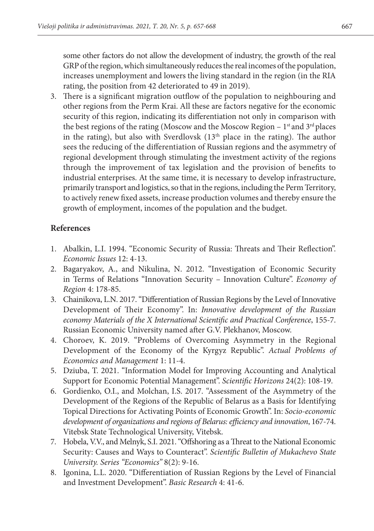some other factors do not allow the development of industry, the growth of the real GRP of the region, which simultaneously reduces the real incomes of the population, increases unemployment and lowers the living standard in the region (in the RIA rating, the position from 42 deteriorated to 49 in 2019).

3. There is a significant migration outflow of the population to neighbouring and other regions from the Perm Krai. All these are factors negative for the economic security of this region, indicating its differentiation not only in comparison with the best regions of the rating (Moscow and the Moscow Region –  $1<sup>st</sup>$  and  $3<sup>rd</sup>$  places in the rating), but also with Sverdlovsk (13<sup>th</sup> place in the rating). The author sees the reducing of the differentiation of Russian regions and the asymmetry of regional development through stimulating the investment activity of the regions through the improvement of tax legislation and the provision of benefits to industrial enterprises. At the same time, it is necessary to develop infrastructure, primarily transport and logistics, so that in the regions, including the Perm Territory, to actively renew fixed assets, increase production volumes and thereby ensure the growth of employment, incomes of the population and the budget.

# **References**

- 1. Abalkin, L.I. 1994. "Economic Security of Russia: Threats and Their Reflection". *Economic Issues* 12: 4-13.
- 2. Bagaryakov, A., and Nikulina, N. 2012. "Investigation of Economic Security in Terms of Relations "Innovation Security – Innovation Culture". *Economy of Region* 4: 178-85.
- 3. Chainikova, L.N. 2017. "Differentiation of Russian Regions by the Level of Innovative Development of Their Economy". In: *Innovative development of the Russian economy Materials of the X International Scientific and Practical Conference*, 155-7. Russian Economic University named after G.V. Plekhanov, Moscow.
- 4. Choroev, K. 2019. "Problems of Overcoming Asymmetry in the Regional Development of the Economy of the Kyrgyz Republic". *Actual Problems of Economics and Management* 1: 11-4.
- 5. Dziuba, T. 2021. "Information Model for Improving Accounting and Analytical Support for Economic Potential Management". *Scientific Horizons* 24(2): 108-19.
- 6. Gordienko, O.I., and Molchan, I.S. 2017. "Assessment of the Asymmetry of the Development of the Regions of the Republic of Belarus as a Basis for Identifying Topical Directions for Activating Points of Economic Growth". In: *Socio-economic development of organizations and regions of Belarus: efficiency and innovation*, 167-74. Vitebsk State Technological University, Vitebsk.
- 7. Hobela, V.V., and Melnyk, S.I. 2021. "Offshoring as a Threat to the National Economic Security: Causes and Ways to Counteract". *Scientific Bulletin of Mukachevo State University. Series "Economics"* 8(2): 9-16.
- 8. Igonina, L.L. 2020. "Differentiation of Russian Regions by the Level of Financial and Investment Development". *Basic Research* 4: 41-6.